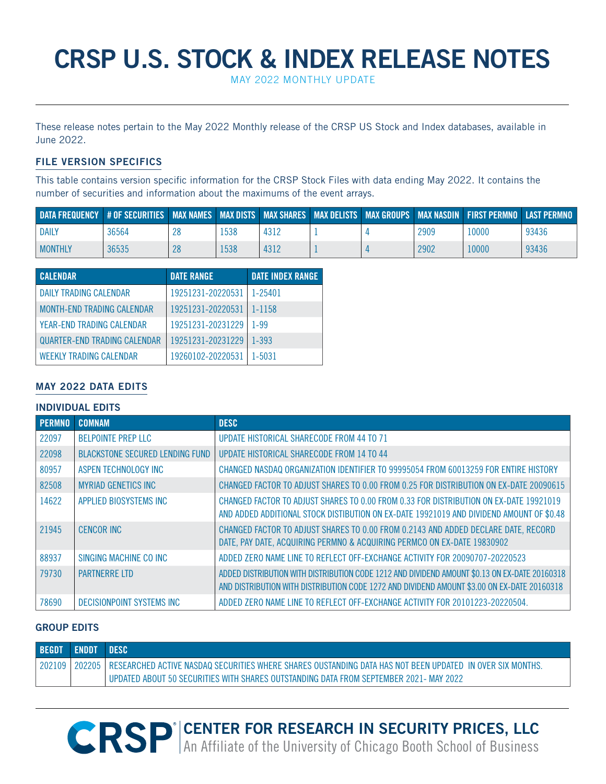# **CRSP U.S. STOCK & INDEX RELEASE NOTES**

May 2022 Monthly UPDATE

These release notes pertain to the May 2022 Monthly release of the CRSP US Stock and Index databases, available in June 2022.

# **FILE VERSION SPECIFICS**

This table contains version specific information for the CRSP Stock Files with data ending May 2022. It contains the number of securities and information about the maximums of the event arrays.

| DATA FREQUENCY #OF SECURITIES   MAX NAMES   MAX DISTS   MAX SHARES   MAX DELISTS   MAX GROUPS   MAX NASDIN   FIRST PERMNO   LAST PERMNO |       |      |      |  |      |       |       |
|-----------------------------------------------------------------------------------------------------------------------------------------|-------|------|------|--|------|-------|-------|
| <b>DAILY</b>                                                                                                                            | 36564 | !538 | 4312 |  | 2909 | 10000 | 93436 |
| <b>MONTHLY</b>                                                                                                                          | 36535 | 1538 | 4312 |  | 2902 | l0000 | 93436 |

| <b>CALENDAR</b>                     | <b>DATE RANGE</b> | <b>DATE INDEX RANGE</b> |
|-------------------------------------|-------------------|-------------------------|
| DAILY TRADING CALENDAR              | 19251231-20220531 | $1 - 25401$             |
| <b>MONTH-END TRADING CALENDAR</b>   | 19251231-20220531 | $1 - 1158$              |
| YEAR-END TRADING CALENDAR           | 19251231-20231229 | 1-99                    |
| <b>QUARTER-END TRADING CALENDAR</b> | 19251231-20231229 | $1 - 393$               |
| <b>WEEKLY TRADING CALENDAR</b>      | 19260102-20220531 | 1-5031                  |

# **May 2022 DATA EDITS**

## **INDIVIDUAL EDITS**

| <b>PERMNO</b> | <b>COMNAM</b>                          | <b>DESC</b>                                                                                                                                                                                  |
|---------------|----------------------------------------|----------------------------------------------------------------------------------------------------------------------------------------------------------------------------------------------|
| 22097         | <b>BELPOINTE PREP LLC</b>              | <b>UPDATE HISTORICAL SHARECODE FROM 44 TO 71</b>                                                                                                                                             |
| 22098         | <b>BLACKSTONE SECURED LENDING FUND</b> | UPDATE HISTORICAL SHARECODE FROM 14 TO 44                                                                                                                                                    |
| 80957         | ASPEN TECHNOLOGY INC                   | CHANGED NASDAQ ORGANIZATION IDENTIFIER TO 99995054 FROM 60013259 FOR ENTIRE HISTORY                                                                                                          |
| 82508         | <b>MYRIAD GENETICS INC</b>             | CHANGED FACTOR TO ADJUST SHARES TO 0.00 FROM 0.25 FOR DISTRIBUTION ON EX-DATE 20090615                                                                                                       |
| 14622         | APPLIED BIOSYSTEMS INC                 | CHANGED FACTOR TO ADJUST SHARES TO 0.00 FROM 0.33 FOR DISTRIBUTION ON EX-DATE 19921019<br>AND ADDED ADDITIONAL STOCK DISTIBUTION ON EX-DATE 19921019 AND DIVIDEND AMOUNT OF \$0.48           |
| 21945         | <b>CENCOR INC</b>                      | CHANGED FACTOR TO ADJUST SHARES TO 0.00 FROM 0.2143 AND ADDED DECLARE DATE, RECORD<br>DATE, PAY DATE, ACQUIRING PERMNO & ACQUIRING PERMCO ON EX-DATE 19830902                                |
| 88937         | SINGING MACHINE CO INC                 | ADDED ZERO NAME LINE TO REFLECT OFF-EXCHANGE ACTIVITY FOR 20090707-20220523                                                                                                                  |
| 79730         | <b>PARTNERRE ITD</b>                   | ADDED DISTRIBUTION WITH DISTRIBUTION CODE 1212 AND DIVIDEND AMOUNT \$0.13 ON EX-DATE 20160318<br>AND DISTRIBUTION WITH DISTRIBUTION CODE 1272 AND DIVIDEND AMOUNT \$3.00 ON EX-DATE 20160318 |
| 78690         | DECISIONPOINT SYSTEMS INC              | ADDED ZERO NAME LINE TO REFLECT OFF-EXCHANGE ACTIVITY FOR 20101223-20220504.                                                                                                                 |

# **GROUP EDITS**

| <b>BEGDT</b> | <b>ENDDT DESC</b> |                                                                                                                             |
|--------------|-------------------|-----------------------------------------------------------------------------------------------------------------------------|
|              |                   | 202109   202205   RESEARCHED ACTIVE NASDAQ SECURITIES WHERE SHARES OUSTANDING DATA HAS NOT BEEN UPDATED IN OVER SIX MONTHS. |
|              |                   | , UPDATED ABOUT 50 SECURITIES WITH SHARES OUTSTANDING DATA FROM SEPTEMBER 2021- MAY 2022.                                   |

**R CENTER FOR RESEARCH IN SECURITY PRICES, LLC** An Affiliate of the University of Chicago Booth School of Business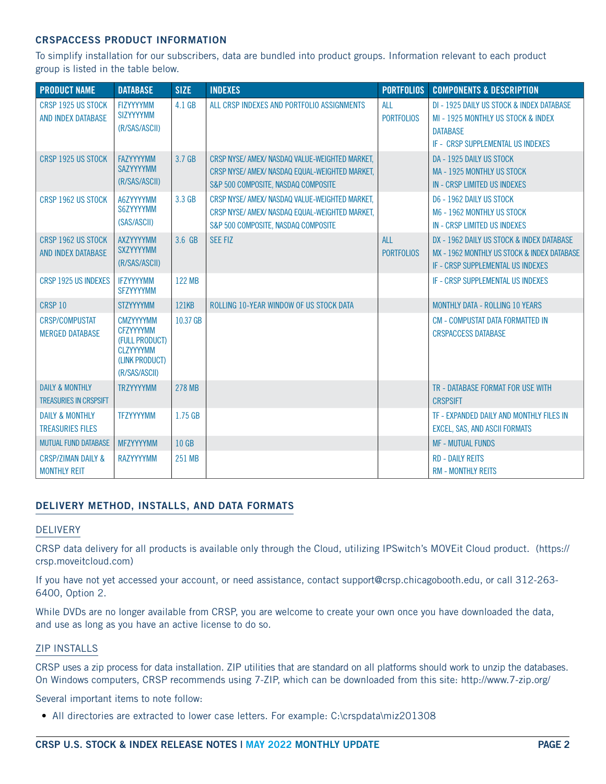## **CRSPACCESS PRODUCT INFORMATION**

To simplify installation for our subscribers, data are bundled into product groups. Information relevant to each product group is listed in the table below.

| <b>PRODUCT NAME</b>                                         | <b>DATABASE</b>                                                                                               | <b>SIZE</b>   | <b>INDEXES</b>                                                                                                                          | <b>PORTFOLIOS</b>               | <b>COMPONENTS &amp; DESCRIPTION</b>                                                                                                     |
|-------------------------------------------------------------|---------------------------------------------------------------------------------------------------------------|---------------|-----------------------------------------------------------------------------------------------------------------------------------------|---------------------------------|-----------------------------------------------------------------------------------------------------------------------------------------|
| CRSP 1925 US STOCK<br>AND INDEX DATABASE                    | <b>FIZYYYYMM</b><br><b>SIZYYYYMM</b><br>(R/SAS/ASCII)                                                         | 4.1 GB        | ALL CRSP INDEXES AND PORTFOLIO ASSIGNMENTS                                                                                              | <b>ALL</b><br><b>PORTFOLIOS</b> | DI - 1925 DAILY US STOCK & INDEX DATABASE<br>MI - 1925 MONTHLY US STOCK & INDEX<br><b>DATABASE</b><br>IF - CRSP SUPPLEMENTAL US INDEXES |
| CRSP 1925 US STOCK                                          | <b>FAZYYYYMM</b><br><b>SAZYYYYMM</b><br>(R/SAS/ASCII)                                                         | 3.7 GB        | CRSP NYSE/ AMEX/ NASDAQ VALUE-WEIGHTED MARKET.<br>CRSP NYSE/ AMEX/ NASDAQ EQUAL-WEIGHTED MARKET,<br>S&P 500 COMPOSITE. NASDAQ COMPOSITE |                                 | DA - 1925 DAILY US STOCK<br><b>MA - 1925 MONTHLY US STOCK</b><br>IN - CRSP LIMITED US INDEXES                                           |
| CRSP 1962 US STOCK                                          | A6ZYYYYMM<br>S6ZYYYYMM<br>(SAS/ASCII)                                                                         | 3.3 GB        | CRSP NYSE/ AMEX/ NASDAQ VALUE-WEIGHTED MARKET.<br>CRSP NYSE/ AMEX/ NASDAQ EQUAL-WEIGHTED MARKET.<br>S&P 500 COMPOSITE, NASDAQ COMPOSITE |                                 | D6 - 1962 DAILY US STOCK<br>M6 - 1962 MONTHLY US STOCK<br>IN - CRSP LIMITED US INDEXES                                                  |
| CRSP 1962 US STOCK<br><b>AND INDEX DATABASE</b>             | <b>AXZYYYYMM</b><br><b>SXZYYYYMM</b><br>(R/SAS/ASCII)                                                         | 3.6 GB        | <b>SEE FIZ</b>                                                                                                                          | AI<br><b>PORTFOLIOS</b>         | DX - 1962 DAILY US STOCK & INDEX DATABASE<br>MX - 1962 MONTHLY US STOCK & INDEX DATABASE<br>IF - CRSP SUPPLEMENTAL US INDEXES           |
| CRSP 1925 US INDEXES                                        | <b>IFZYYYYMM</b><br><b>SFZYYYYMM</b>                                                                          | 122 MB        |                                                                                                                                         |                                 | IF - CRSP SUPPLEMENTAL US INDEXES                                                                                                       |
| CRSP 10                                                     | <b>STZYYYYMM</b>                                                                                              | <b>121KB</b>  | ROLLING 10-YEAR WINDOW OF US STOCK DATA                                                                                                 |                                 | <b>MONTHLY DATA - ROLLING 10 YEARS</b>                                                                                                  |
| <b>CRSP/COMPUSTAT</b><br><b>MERGED DATABASE</b>             | <b>CMZYYYYMM</b><br><b>CFZYYYYMM</b><br>(FULL PRODUCT)<br><b>CLZYYYYMM</b><br>(LINK PRODUCT)<br>(R/SAS/ASCII) | 10.37 GB      |                                                                                                                                         |                                 | <b>CM - COMPUSTAT DATA FORMATTED IN</b><br><b>CRSPACCESS DATABASE</b>                                                                   |
| <b>DAILY &amp; MONTHLY</b><br><b>TREASURIES IN CRSPSIFT</b> | <b>TRZYYYYMM</b>                                                                                              | <b>278 MB</b> |                                                                                                                                         |                                 | TR - DATABASE FORMAT FOR USE WITH<br><b>CRSPSIFT</b>                                                                                    |
| <b>DAILY &amp; MONTHLY</b><br><b>TREASURIES FILES</b>       | <b>TFZYYYYMM</b>                                                                                              | 1.75 GB       |                                                                                                                                         |                                 | TF - EXPANDED DAILY AND MONTHLY FILES IN<br><b>EXCEL, SAS, AND ASCII FORMATS</b>                                                        |
| <b>MUTUAL FUND DATABASE</b>                                 | <b>MFZYYYYMM</b>                                                                                              | 10 GB         |                                                                                                                                         |                                 | <b>MF - MUTUAL FUNDS</b>                                                                                                                |
| <b>CRSP/ZIMAN DAILY &amp;</b><br><b>MONTHLY REIT</b>        | <b>RAZYYYYMM</b>                                                                                              | 251 MB        |                                                                                                                                         |                                 | <b>RD - DAILY REITS</b><br><b>RM - MONTHLY REITS</b>                                                                                    |

# **DELIVERY METHOD, INSTALLS, AND DATA FORMATS**

#### DELIVERY

CRSP data delivery for all products is available only through the Cloud, utilizing IPSwitch's MOVEit Cloud product. (https:// crsp.moveitcloud.com)

If you have not yet accessed your account, or need assistance, contact support@crsp.chicagobooth.edu, or call 312-263- 6400, Option 2.

While DVDs are no longer available from CRSP, you are welcome to create your own once you have downloaded the data, and use as long as you have an active license to do so.

#### ZIP INSTALLS

CRSP uses a zip process for data installation. ZIP utilities that are standard on all platforms should work to unzip the databases. On Windows computers, CRSP recommends using 7-ZIP, which can be downloaded from this site: http://www.7-zip.org/

Several important items to note follow:

• All directories are extracted to lower case letters. For example: C:\crspdata\miz201308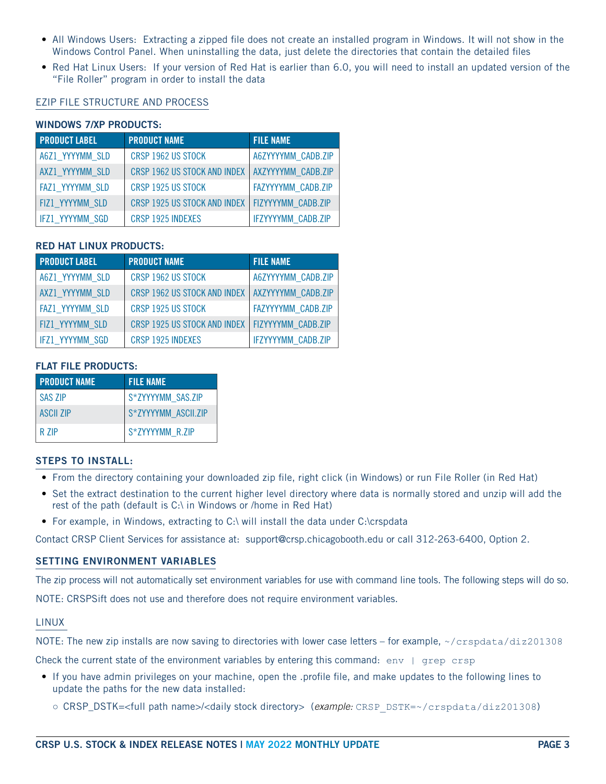- All Windows Users: Extracting a zipped file does not create an installed program in Windows. It will not show in the Windows Control Panel. When uninstalling the data, just delete the directories that contain the detailed files
- Red Hat Linux Users: If your version of Red Hat is earlier than 6.0, you will need to install an updated version of the "File Roller" program in order to install the data

## EZIP FILE STRUCTURE AND PROCESS

## **WINDOWS 7/XP PRODUCTS:**

| <b>PRODUCT LABEL</b> | <b>PRODUCT NAME</b>                               | <b>FILE NAME</b>   |
|----------------------|---------------------------------------------------|--------------------|
| A6Z1 YYYYMM SLD      | CRSP 1962 US STOCK                                | A6ZYYYYMM CADB.ZIP |
| AXZ1 YYYYMM SLD      | CRSP 1962 US STOCK AND INDEX   AXZYYYYMM CADB.ZIP |                    |
| FAZ1 YYYYMM SLD      | CRSP 1925 US STOCK                                | FAZYYYYMM CADB.ZIP |
| FIZ1 YYYYMM SLD      | CRSP 1925 US STOCK AND INDEX   FIZYYYYMM CADB.ZIP |                    |
| IFZ1 YYYYMM SGD      | CRSP 1925 INDEXES                                 | IFZYYYYMM CADB.ZIP |

## **RED HAT LINUX PRODUCTS:**

| <b>PRODUCT LABEL</b>   | <b>PRODUCT NAME</b>                               | <b>FILE NAME</b>          |
|------------------------|---------------------------------------------------|---------------------------|
| A6Z1 YYYYMM SLD        | CRSP 1962 US STOCK                                | A6ZYYYYMM CADB.ZIP        |
| AXZ1 YYYYMM SLD        | CRSP 1962 US STOCK AND INDEX   AXZYYYYMM CADB.ZIP |                           |
| FAZ1 YYYYMM SLD        | CRSP 1925 US STOCK                                | FAZYYYYMM CADB.ZIP        |
| FIZ1 YYYYMM SLD        | CRSP 1925 US STOCK AND INDEX                      | FIZYYYYMM CADB.ZIP        |
| <b>IFZ1 YYYYMM SGD</b> | CRSP 1925 INDEXES                                 | <b>IFZYYYYMM CADB.ZIP</b> |

#### **FLAT FILE PRODUCTS:**

| <b>PRODUCT NAME</b> | <b>FILE NAME</b>    |
|---------------------|---------------------|
| <b>SAS ZIP</b>      | S*ZYYYYMM SAS.ZIP   |
| <b>ASCIL ZIP</b>    | S*ZYYYYMM ASCII.ZIP |
| R <sub>7</sub> IP   | S*ZYYYYMM R.ZIP     |

## **STEPS TO INSTALL:**

- From the directory containing your downloaded zip file, right click (in Windows) or run File Roller (in Red Hat)
- Set the extract destination to the current higher level directory where data is normally stored and unzip will add the rest of the path (default is C:\ in Windows or /home in Red Hat)
- For example, in Windows, extracting to C:\ will install the data under C:\crspdata

Contact CRSP Client Services for assistance at: support@crsp.chicagobooth.edu or call 312-263-6400, Option 2.

#### **SETTING ENVIRONMENT VARIABLES**

The zip process will not automatically set environment variables for use with command line tools. The following steps will do so.

NOTE: CRSPSift does not use and therefore does not require environment variables.

#### LINUX

NOTE: The new zip installs are now saving to directories with lower case letters – for example, ~/crspdata/diz201308

Check the current state of the environment variables by entering this command:  $env \mid \text{prep} \text{crsp}$ 

- If you have admin privileges on your machine, open the .profile file, and make updates to the following lines to update the paths for the new data installed:
	- CRSP\_DSTK=<full path name>/<daily stock directory> (*example:* CRSP\_DSTK=~/crspdata/diz201308)